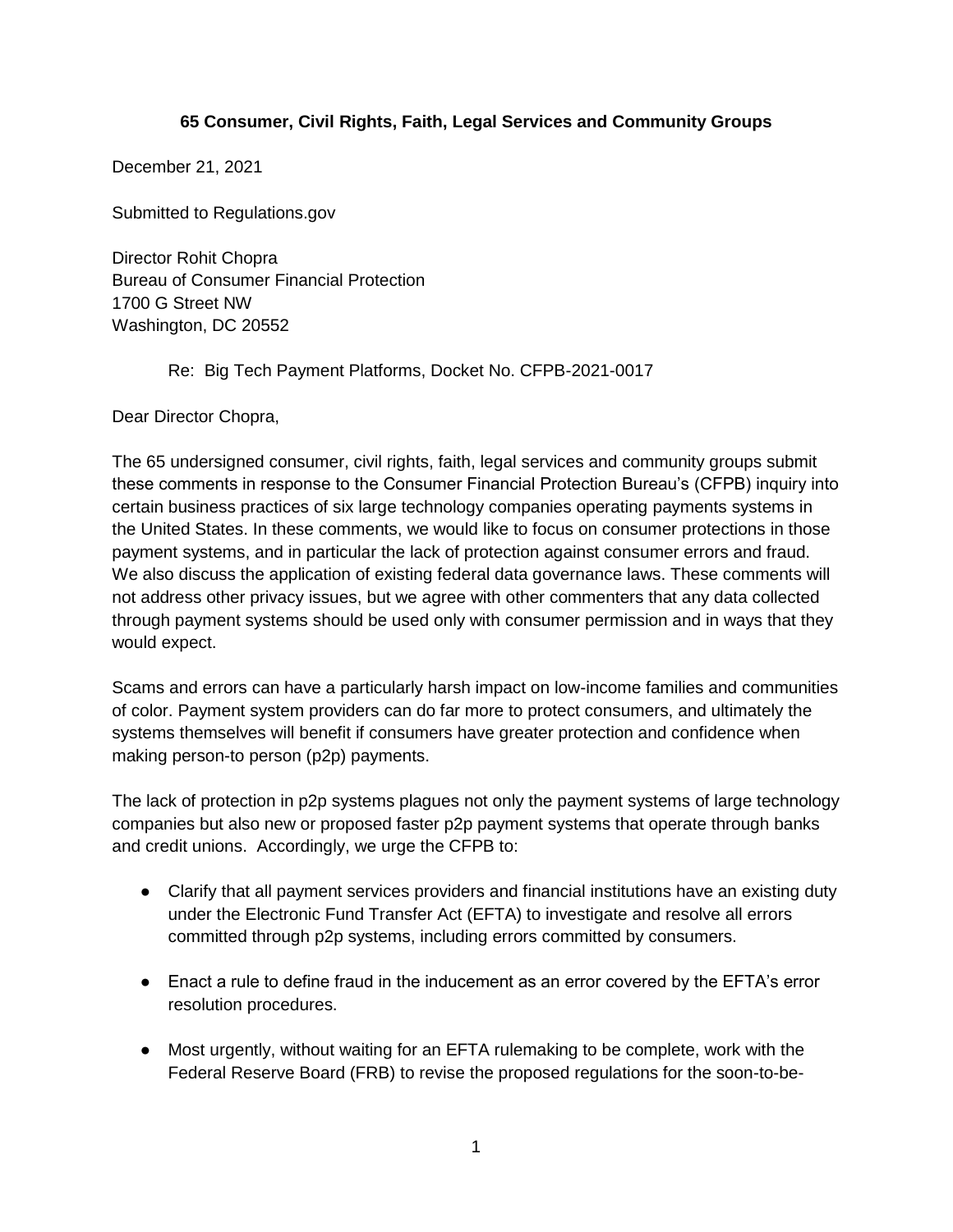## **65 Consumer, Civil Rights, Faith, Legal Services and Community Groups**

December 21, 2021

Submitted to Regulations.gov

Director Rohit Chopra Bureau of Consumer Financial Protection 1700 G Street NW Washington, DC 20552

Re: Big Tech Payment Platforms, Docket No. CFPB-2021-0017

Dear Director Chopra,

The 65 undersigned consumer, civil rights, faith, legal services and community groups submit these comments in response to the Consumer Financial Protection Bureau's (CFPB) inquiry into certain business practices of six large technology companies operating payments systems in the United States. In these comments, we would like to focus on consumer protections in those payment systems, and in particular the lack of protection against consumer errors and fraud. We also discuss the application of existing federal data governance laws. These comments will not address other privacy issues, but we agree with other commenters that any data collected through payment systems should be used only with consumer permission and in ways that they would expect.

Scams and errors can have a particularly harsh impact on low-income families and communities of color. Payment system providers can do far more to protect consumers, and ultimately the systems themselves will benefit if consumers have greater protection and confidence when making person-to person (p2p) payments.

The lack of protection in p2p systems plagues not only the payment systems of large technology companies but also new or proposed faster p2p payment systems that operate through banks and credit unions. Accordingly, we urge the CFPB to:

- Clarify that all payment services providers and financial institutions have an existing duty under the Electronic Fund Transfer Act (EFTA) to investigate and resolve all errors committed through p2p systems, including errors committed by consumers.
- Enact a rule to define fraud in the inducement as an error covered by the EFTA's error resolution procedures.
- Most urgently, without waiting for an EFTA rulemaking to be complete, work with the Federal Reserve Board (FRB) to revise the proposed regulations for the soon-to-be-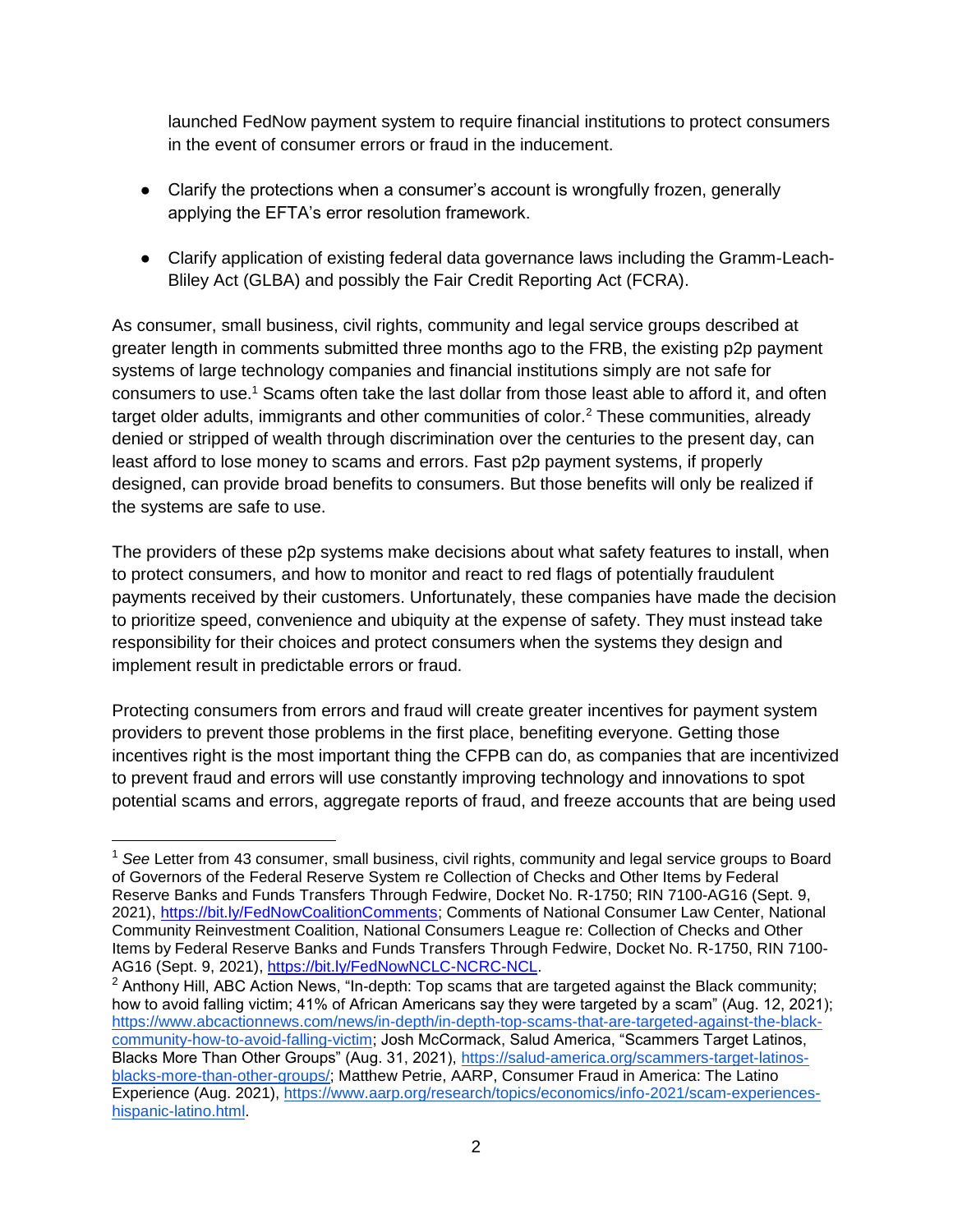launched FedNow payment system to require financial institutions to protect consumers in the event of consumer errors or fraud in the inducement.

- Clarify the protections when a consumer's account is wrongfully frozen, generally applying the EFTA's error resolution framework.
- Clarify application of existing federal data governance laws including the Gramm-Leach-Bliley Act (GLBA) and possibly the Fair Credit Reporting Act (FCRA).

As consumer, small business, civil rights, community and legal service groups described at greater length in comments submitted three months ago to the FRB, the existing p2p payment systems of large technology companies and financial institutions simply are not safe for consumers to use.<sup>1</sup> Scams often take the last dollar from those least able to afford it, and often target older adults, immigrants and other communities of color.<sup>2</sup> These communities, already denied or stripped of wealth through discrimination over the centuries to the present day, can least afford to lose money to scams and errors. Fast p2p payment systems, if properly designed, can provide broad benefits to consumers. But those benefits will only be realized if the systems are safe to use.

The providers of these p2p systems make decisions about what safety features to install, when to protect consumers, and how to monitor and react to red flags of potentially fraudulent payments received by their customers. Unfortunately, these companies have made the decision to prioritize speed, convenience and ubiquity at the expense of safety. They must instead take responsibility for their choices and protect consumers when the systems they design and implement result in predictable errors or fraud.

Protecting consumers from errors and fraud will create greater incentives for payment system providers to prevent those problems in the first place, benefiting everyone. Getting those incentives right is the most important thing the CFPB can do, as companies that are incentivized to prevent fraud and errors will use constantly improving technology and innovations to spot potential scams and errors, aggregate reports of fraud, and freeze accounts that are being used

<sup>1</sup> *See* Letter from 43 consumer, small business, civil rights, community and legal service groups to Board of Governors of the Federal Reserve System re Collection of Checks and Other Items by Federal Reserve Banks and Funds Transfers Through Fedwire, Docket No. R-1750; RIN 7100-AG16 (Sept. 9, 2021), [https://bit.ly/FedNowCoalitionComments;](https://bit.ly/FedNowCoalitionComments) Comments of National Consumer Law Center, National Community Reinvestment Coalition, National Consumers League re: Collection of Checks and Other Items by Federal Reserve Banks and Funds Transfers Through Fedwire, Docket No. R-1750, RIN 7100- AG16 (Sept. 9, 2021), [https://bit.ly/FedNowNCLC-NCRC-NCL.](https://bit.ly/FedNowNCLC-NCRC-NCL)

<sup>&</sup>lt;sup>2</sup> Anthony Hill, ABC Action News, "In-depth: Top scams that are targeted against the Black community; how to avoid falling victim; 41% of African Americans say they were targeted by a scam" (Aug. 12, 2021); [https://www.abcactionnews.com/news/in-depth/in-depth-top-scams-that-are-targeted-against-the-black](https://www.abcactionnews.com/news/in-depth/in-depth-top-scams-that-are-targeted-against-the-black-community-how-to-avoid-falling-victim)[community-how-to-avoid-falling-victim;](https://www.abcactionnews.com/news/in-depth/in-depth-top-scams-that-are-targeted-against-the-black-community-how-to-avoid-falling-victim) Josh McCormack, Salud America, "Scammers Target Latinos, Blacks More Than Other Groups" (Aug. 31, 2021), [https://salud-america.org/scammers-target-latinos](https://salud-america.org/scammers-target-latinos-blacks-more-than-other-groups/)[blacks-more-than-other-groups/;](https://salud-america.org/scammers-target-latinos-blacks-more-than-other-groups/) Matthew Petrie, AARP, Consumer Fraud in America: The Latino Experience (Aug. 2021), [https://www.aarp.org/research/topics/economics/info-2021/scam-experiences](https://www.aarp.org/research/topics/economics/info-2021/scam-experiences-hispanic-latino.html)[hispanic-latino.html.](https://www.aarp.org/research/topics/economics/info-2021/scam-experiences-hispanic-latino.html)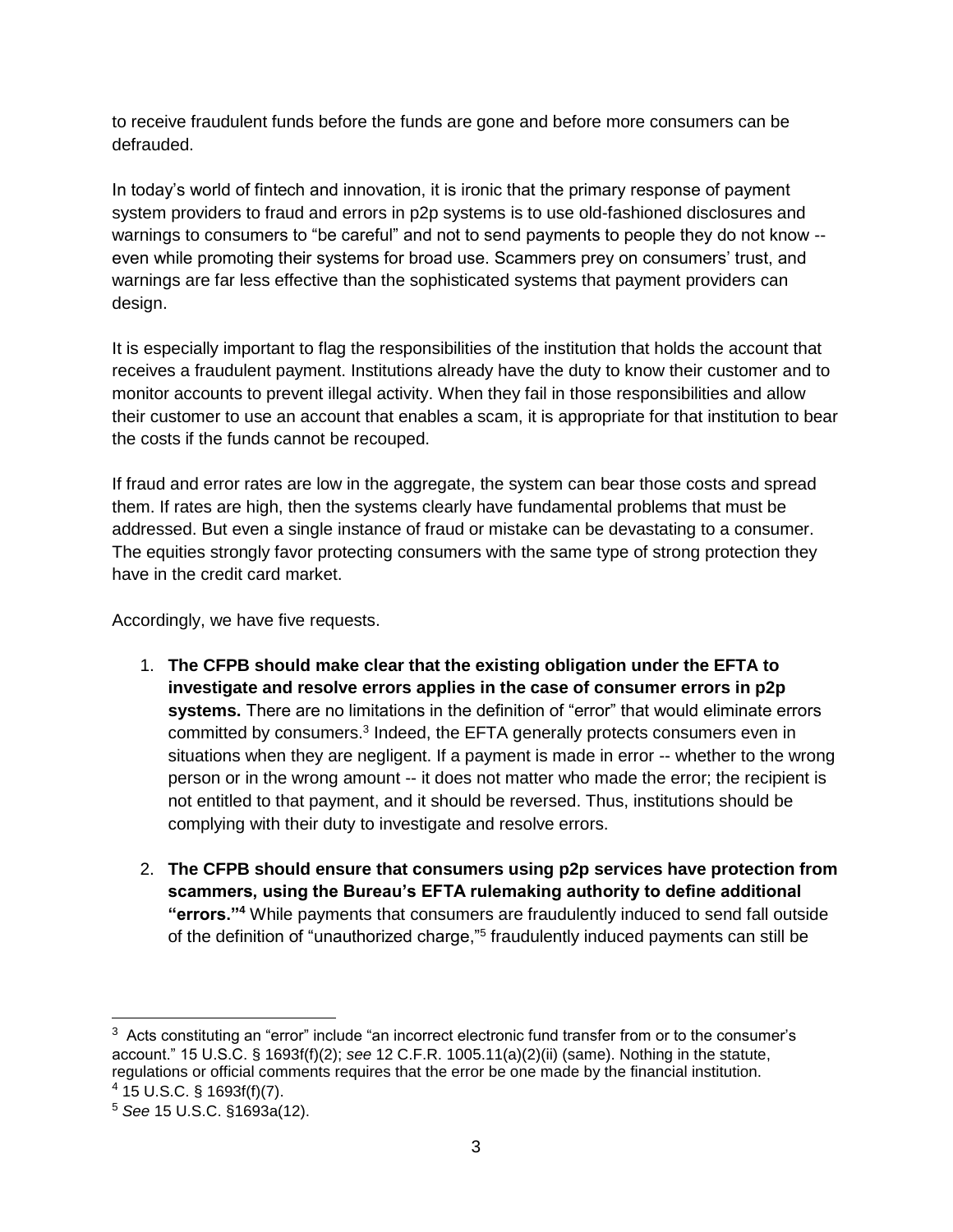to receive fraudulent funds before the funds are gone and before more consumers can be defrauded.

In today's world of fintech and innovation, it is ironic that the primary response of payment system providers to fraud and errors in p2p systems is to use old-fashioned disclosures and warnings to consumers to "be careful" and not to send payments to people they do not know - even while promoting their systems for broad use. Scammers prey on consumers' trust, and warnings are far less effective than the sophisticated systems that payment providers can design.

It is especially important to flag the responsibilities of the institution that holds the account that receives a fraudulent payment. Institutions already have the duty to know their customer and to monitor accounts to prevent illegal activity. When they fail in those responsibilities and allow their customer to use an account that enables a scam, it is appropriate for that institution to bear the costs if the funds cannot be recouped.

If fraud and error rates are low in the aggregate, the system can bear those costs and spread them. If rates are high, then the systems clearly have fundamental problems that must be addressed. But even a single instance of fraud or mistake can be devastating to a consumer. The equities strongly favor protecting consumers with the same type of strong protection they have in the credit card market.

Accordingly, we have five requests.

- 1. **The CFPB should make clear that the existing obligation under the EFTA to investigate and resolve errors applies in the case of consumer errors in p2p systems.** There are no limitations in the definition of "error" that would eliminate errors committed by consumers.<sup>3</sup> Indeed, the EFTA generally protects consumers even in situations when they are negligent. If a payment is made in error -- whether to the wrong person or in the wrong amount -- it does not matter who made the error; the recipient is not entitled to that payment, and it should be reversed. Thus, institutions should be complying with their duty to investigate and resolve errors.
- 2. **The CFPB should ensure that consumers using p2p services have protection from scammers, using the Bureau's EFTA rulemaking authority to define additional "errors."<sup>4</sup>** While payments that consumers are fraudulently induced to send fall outside of the definition of "unauthorized charge,"<sup>5</sup> fraudulently induced payments can still be

 $\overline{a}$ 

<sup>&</sup>lt;sup>3</sup> Acts constituting an "error" include "an incorrect electronic fund transfer from or to the consumer's account." 15 U.S.C. § 1693f(f)(2); *see* 12 C.F.R. 1005.11(a)(2)(ii) (same). Nothing in the statute, regulations or official comments requires that the error be one made by the financial institution. <sup>4</sup> 15 U.S.C. § 1693f(f)(7).

<sup>5</sup> *See* 15 U.S.C. §1693a(12).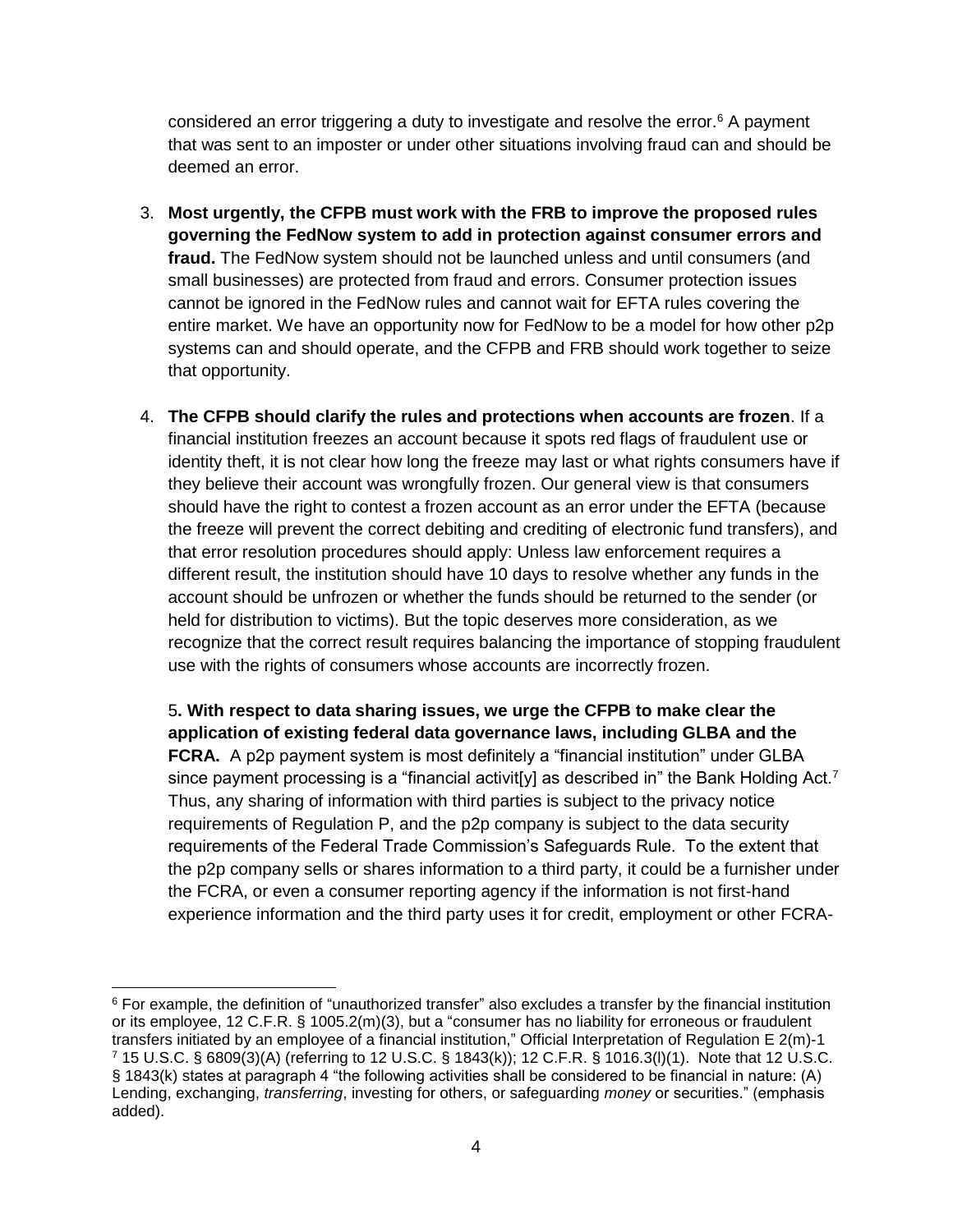considered an error triggering a duty to investigate and resolve the error.<sup>6</sup> A payment that was sent to an imposter or under other situations involving fraud can and should be deemed an error.

- 3. **Most urgently, the CFPB must work with the FRB to improve the proposed rules governing the FedNow system to add in protection against consumer errors and fraud.** The FedNow system should not be launched unless and until consumers (and small businesses) are protected from fraud and errors. Consumer protection issues cannot be ignored in the FedNow rules and cannot wait for EFTA rules covering the entire market. We have an opportunity now for FedNow to be a model for how other p2p systems can and should operate, and the CFPB and FRB should work together to seize that opportunity.
- 4. **The CFPB should clarify the rules and protections when accounts are frozen**. If a financial institution freezes an account because it spots red flags of fraudulent use or identity theft, it is not clear how long the freeze may last or what rights consumers have if they believe their account was wrongfully frozen. Our general view is that consumers should have the right to contest a frozen account as an error under the EFTA (because the freeze will prevent the correct debiting and crediting of electronic fund transfers), and that error resolution procedures should apply: Unless law enforcement requires a different result, the institution should have 10 days to resolve whether any funds in the account should be unfrozen or whether the funds should be returned to the sender (or held for distribution to victims). But the topic deserves more consideration, as we recognize that the correct result requires balancing the importance of stopping fraudulent use with the rights of consumers whose accounts are incorrectly frozen.

5**. With respect to data sharing issues, we urge the CFPB to make clear the application of existing federal data governance laws, including GLBA and the FCRA.** A p2p payment system is most definitely a "financial institution" under GLBA since payment processing is a "financial activit[y] as described in" the Bank Holding Act.<sup>7</sup> Thus, any sharing of information with third parties is subject to the privacy notice requirements of Regulation P, and the p2p company is subject to the data security requirements of the Federal Trade Commission's Safeguards Rule. To the extent that the p2p company sells or shares information to a third party, it could be a furnisher under the FCRA, or even a consumer reporting agency if the information is not first-hand experience information and the third party uses it for credit, employment or other FCRA-

 $\overline{a}$ <sup>6</sup> For example, the definition of "unauthorized transfer" also excludes a transfer by the financial institution or its employee, 12 C.F.R. § 1005.2(m)(3), but a "consumer has no liability for erroneous or fraudulent transfers initiated by an employee of a financial institution," Official Interpretation of Regulation E 2(m)-1 <sup>7</sup> 15 U.S.C. § 6809(3)(A) (referring to 12 U.S.C. § 1843(k)); 12 C.F.R. § 1016.3(l)(1). Note that 12 U.S.C. § 1843(k) states at paragraph 4 "the following activities shall be considered to be financial in nature: (A) Lending, exchanging, *transferring*, investing for others, or safeguarding *money* or securities." (emphasis added).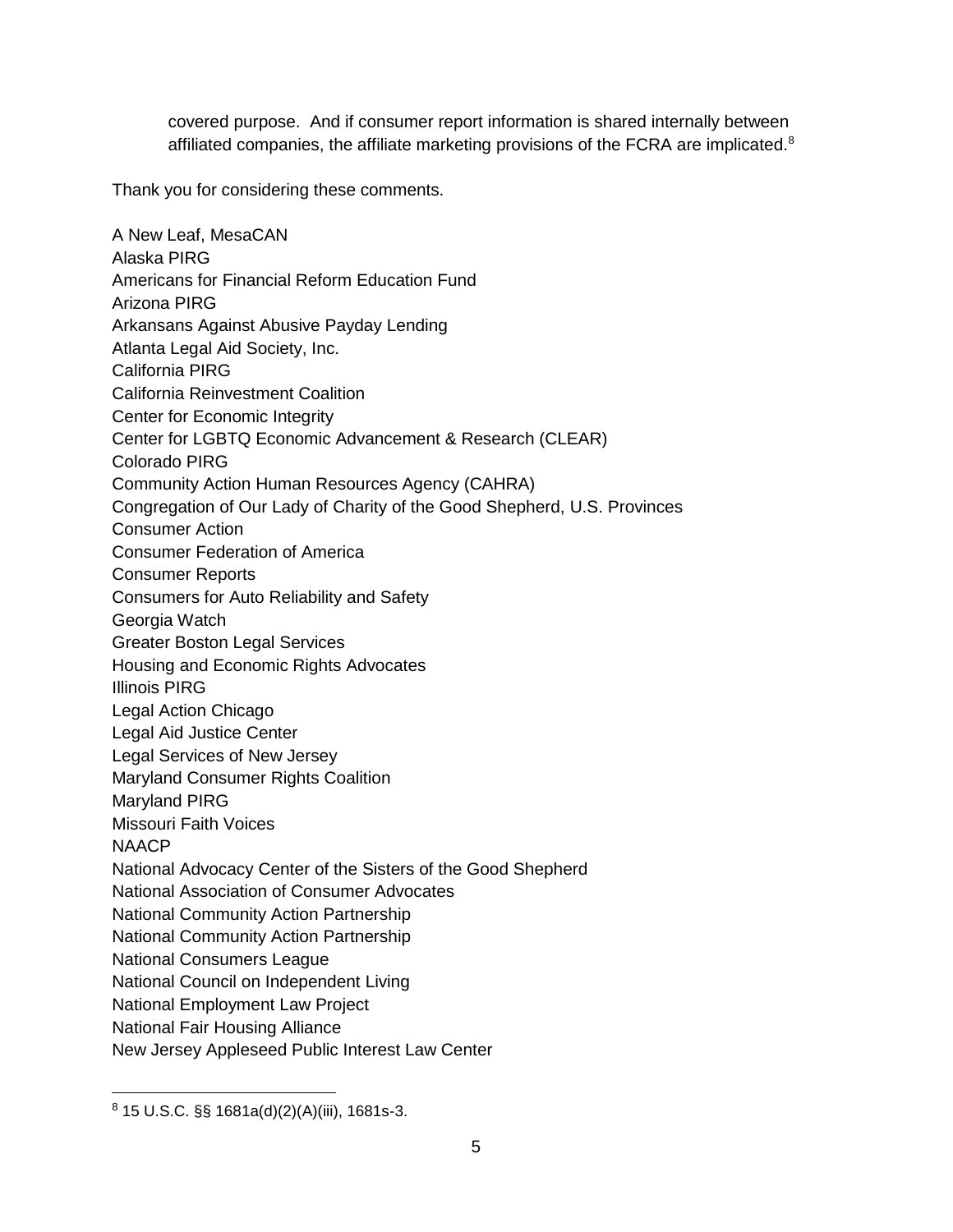covered purpose. And if consumer report information is shared internally between affiliated companies, the affiliate marketing provisions of the FCRA are implicated.<sup>8</sup>

Thank you for considering these comments.

A New Leaf, MesaCAN Alaska PIRG Americans for Financial Reform Education Fund Arizona PIRG Arkansans Against Abusive Payday Lending Atlanta Legal Aid Society, Inc. California PIRG California Reinvestment Coalition Center for Economic Integrity Center for LGBTQ Economic Advancement & Research (CLEAR) Colorado PIRG Community Action Human Resources Agency (CAHRA) Congregation of Our Lady of Charity of the Good Shepherd, U.S. Provinces Consumer Action Consumer Federation of America Consumer Reports Consumers for Auto Reliability and Safety Georgia Watch Greater Boston Legal Services Housing and Economic Rights Advocates Illinois PIRG Legal Action Chicago Legal Aid Justice Center Legal Services of New Jersey Maryland Consumer Rights Coalition Maryland PIRG Missouri Faith Voices **NAACP** National Advocacy Center of the Sisters of the Good Shepherd National Association of Consumer Advocates National Community Action Partnership National Community Action Partnership National Consumers League National Council on Independent Living National Employment Law Project National Fair Housing Alliance New Jersey Appleseed Public Interest Law Center

 $8$  15 U.S.C. §§ 1681a(d)(2)(A)(iii), 1681s-3.